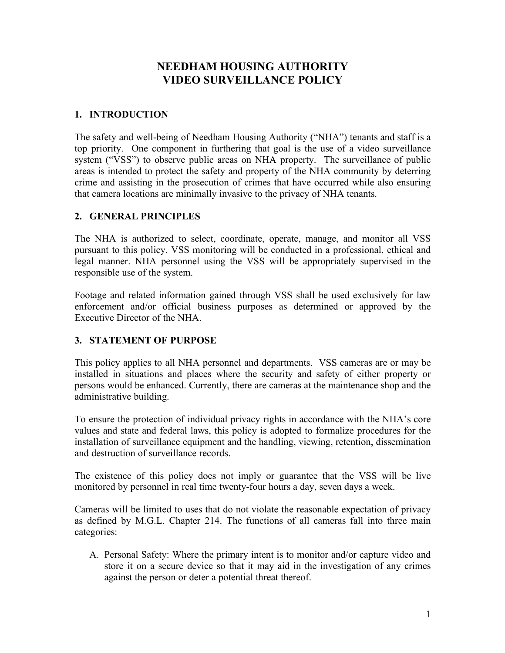# **NEEDHAM HOUSING AUTHORITY VIDEO SURVEILLANCE POLICY**

## **1. INTRODUCTION**

The safety and well-being of Needham Housing Authority ("NHA") tenants and staff is a top priority. One component in furthering that goal is the use of a video surveillance system ("VSS") to observe public areas on NHA property. The surveillance of public areas is intended to protect the safety and property of the NHA community by deterring crime and assisting in the prosecution of crimes that have occurred while also ensuring that camera locations are minimally invasive to the privacy of NHA tenants.

#### **2. GENERAL PRINCIPLES**

The NHA is authorized to select, coordinate, operate, manage, and monitor all VSS pursuant to this policy. VSS monitoring will be conducted in a professional, ethical and legal manner. NHA personnel using the VSS will be appropriately supervised in the responsible use of the system.

Footage and related information gained through VSS shall be used exclusively for law enforcement and/or official business purposes as determined or approved by the Executive Director of the NHA.

# **3. STATEMENT OF PURPOSE**

This policy applies to all NHA personnel and departments. VSS cameras are or may be installed in situations and places where the security and safety of either property or persons would be enhanced. Currently, there are cameras at the maintenance shop and the administrative building.

To ensure the protection of individual privacy rights in accordance with the NHA's core values and state and federal laws, this policy is adopted to formalize procedures for the installation of surveillance equipment and the handling, viewing, retention, dissemination and destruction of surveillance records.

The existence of this policy does not imply or guarantee that the VSS will be live monitored by personnel in real time twenty-four hours a day, seven days a week.

Cameras will be limited to uses that do not violate the reasonable expectation of privacy as defined by M.G.L. Chapter 214. The functions of all cameras fall into three main categories:

A. Personal Safety: Where the primary intent is to monitor and/or capture video and store it on a secure device so that it may aid in the investigation of any crimes against the person or deter a potential threat thereof.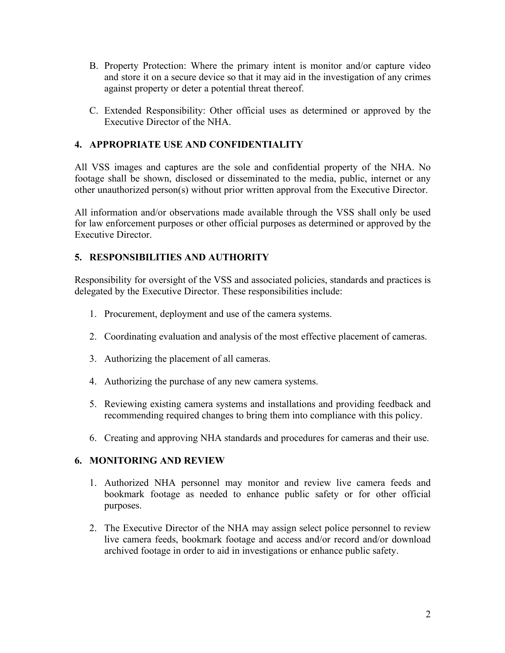- B. Property Protection: Where the primary intent is monitor and/or capture video and store it on a secure device so that it may aid in the investigation of any crimes against property or deter a potential threat thereof.
- C. Extended Responsibility: Other official uses as determined or approved by the Executive Director of the NHA.

## **4. APPROPRIATE USE AND CONFIDENTIALITY**

All VSS images and captures are the sole and confidential property of the NHA. No footage shall be shown, disclosed or disseminated to the media, public, internet or any other unauthorized person(s) without prior written approval from the Executive Director.

All information and/or observations made available through the VSS shall only be used for law enforcement purposes or other official purposes as determined or approved by the Executive Director.

## **5. RESPONSIBILITIES AND AUTHORITY**

Responsibility for oversight of the VSS and associated policies, standards and practices is delegated by the Executive Director. These responsibilities include:

- 1. Procurement, deployment and use of the camera systems.
- 2. Coordinating evaluation and analysis of the most effective placement of cameras.
- 3. Authorizing the placement of all cameras.
- 4. Authorizing the purchase of any new camera systems.
- 5. Reviewing existing camera systems and installations and providing feedback and recommending required changes to bring them into compliance with this policy.
- 6. Creating and approving NHA standards and procedures for cameras and their use.

# **6. MONITORING AND REVIEW**

- 1. Authorized NHA personnel may monitor and review live camera feeds and bookmark footage as needed to enhance public safety or for other official purposes.
- 2. The Executive Director of the NHA may assign select police personnel to review live camera feeds, bookmark footage and access and/or record and/or download archived footage in order to aid in investigations or enhance public safety.